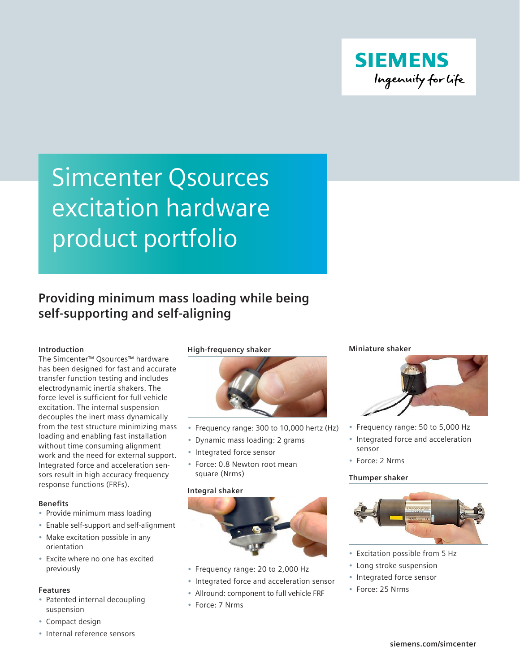

# Simcenter Qsources excitation hardware product portfolio

### **Providing minimum mass loading while being self-supporting and self-aligning**

### **Introduction**

The Simcenter™ Qsources™ hardware has been designed for fast and accurate transfer function testing and includes electrodynamic inertia shakers. The force level is sufficient for full vehicle excitation. The internal suspension decouples the inert mass dynamically from the test structure minimizing mass loading and enabling fast installation without time consuming alignment work and the need for external support. Integrated force and acceleration sensors result in high accuracy frequency response functions (FRFs).

### **Benefits**

- Provide minimum mass loading
- Enable self-support and self-alignment
- Make excitation possible in any orientation
- Excite where no one has excited previously

### **Features**

- Patented internal decoupling suspension
- Compact design
- Internal reference sensors

### **High-frequency shaker**



- Frequency range: 300 to 10,000 hertz (Hz)
- Dynamic mass loading: 2 grams
- Integrated force sensor
- Force: 0.8 Newton root mean square (Nrms)

### **Integral shaker**



- Frequency range: 20 to 2,000 Hz
- Integrated force and acceleration sensor
- Allround: component to full vehicle FRF
- Force: 7 Nrms

### **Miniature shaker**



- Frequency range: 50 to 5,000 Hz
- Integrated force and acceleration sensor
- Force: 2 Nrms

### **Thumper shaker**



- Excitation possible from 5 Hz
- Long stroke suspension
- Integrated force sensor
- Force: 25 Nrms